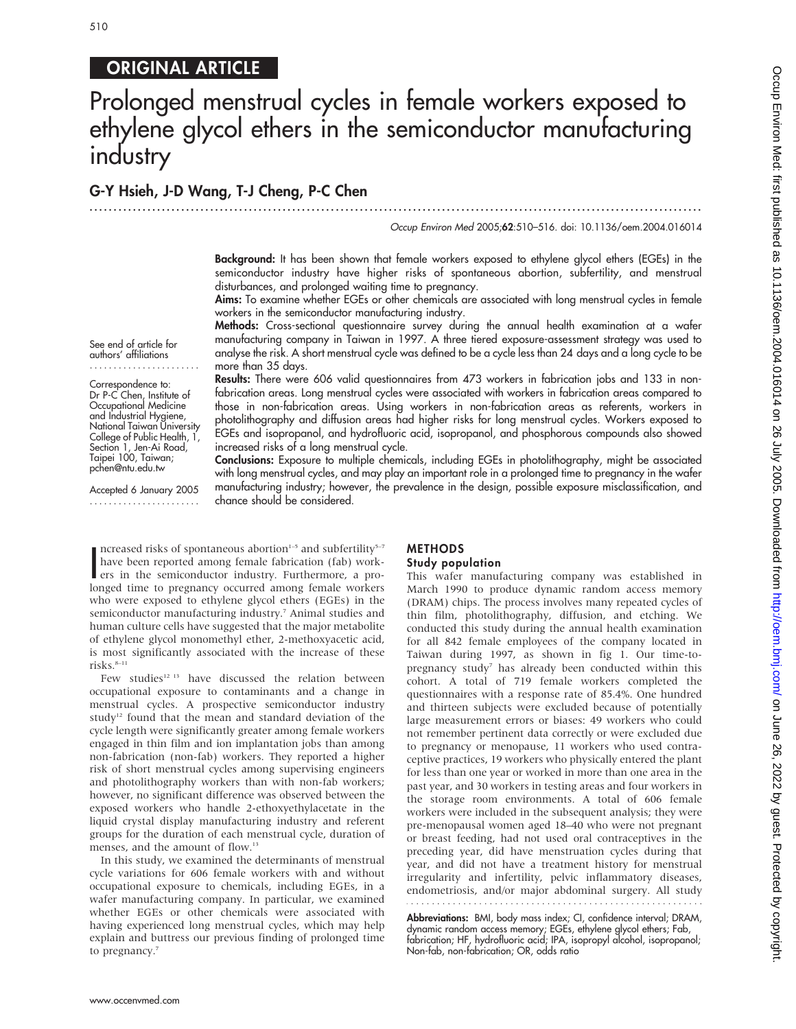# ORIGINAL ARTICLE

# Prolonged menstrual cycles in female workers exposed to ethylene glycol ethers in the semiconductor manufacturing industry

# G-Y Hsieh, J-D Wang, T-J Cheng, P-C Chen

............................................................................................................................... Occup Environ Med 2005;62:510–516. doi: 10.1136/oem.2004.016014

> Background: It has been shown that female workers exposed to ethylene glycol ethers (EGEs) in the semiconductor industry have higher risks of spontaneous abortion, subfertility, and menstrual disturbances, and prolonged waiting time to pregnancy.

Aims: To examine whether EGEs or other chemicals are associated with long menstrual cycles in female workers in the semiconductor manufacturing industry.

Methods: Cross-sectional questionnaire survey during the annual health examination at a wafer manufacturing company in Taiwan in 1997. A three tiered exposure-assessment strategy was used to analyse the risk. A short menstrual cycle was defined to be a cycle less than 24 days and a long cycle to be more than 35 days.

authors' affiliations ....................... Correspondence to: Dr P-C Chen, Institute of Occupational Medicine

and Industrial Hygiene, National Taiwan University College of Public Health, 1, Section 1, Jen-Ai Road, Taipei 100, Taiwan; pchen@ntu.edu.tw

See end of article for

Accepted 6 January 2005 .......................

Results: There were 606 valid questionnaires from 473 workers in fabrication jobs and 133 in nonfabrication areas. Long menstrual cycles were associated with workers in fabrication areas compared to those in non-fabrication areas. Using workers in non-fabrication areas as referents, workers in photolithography and diffusion areas had higher risks for long menstrual cycles. Workers exposed to EGEs and isopropanol, and hydrofluoric acid, isopropanol, and phosphorous compounds also showed increased risks of a long menstrual cycle.

Conclusions: Exposure to multiple chemicals, including EGEs in photolithography, might be associated with long menstrual cycles, and may play an important role in a prolonged time to pregnancy in the wafer manufacturing industry; however, the prevalence in the design, possible exposure misclassification, and chance should be considered.

Increased risks of spontaneous abortion. The semiconductor industry. Furthermore, a pro-<br>length the semiconductor industry. Furthermore, a pro-<br>length time to pregnancy occurred among female workers ncreased risks of spontaneous abortion $1-5$  and subfertility $5-7$ have been reported among female fabrication (fab) worklonged time to pregnancy occurred among female workers who were exposed to ethylene glycol ethers (EGEs) in the semiconductor manufacturing industry.<sup>7</sup> Animal studies and human culture cells have suggested that the major metabolite of ethylene glycol monomethyl ether, 2-methoxyacetic acid, is most significantly associated with the increase of these  $risks.<sup>8–11</sup>$ 

Few studies<sup>12-13</sup> have discussed the relation between occupational exposure to contaminants and a change in menstrual cycles. A prospective semiconductor industry study<sup>12</sup> found that the mean and standard deviation of the cycle length were significantly greater among female workers engaged in thin film and ion implantation jobs than among non-fabrication (non-fab) workers. They reported a higher risk of short menstrual cycles among supervising engineers and photolithography workers than with non-fab workers; however, no significant difference was observed between the exposed workers who handle 2-ethoxyethylacetate in the liquid crystal display manufacturing industry and referent groups for the duration of each menstrual cycle, duration of menses, and the amount of flow.<sup>13</sup>

In this study, we examined the determinants of menstrual cycle variations for 606 female workers with and without occupational exposure to chemicals, including EGEs, in a wafer manufacturing company. In particular, we examined whether EGEs or other chemicals were associated with having experienced long menstrual cycles, which may help explain and buttress our previous finding of prolonged time to pregnancy.<sup>7</sup>

## METHODS

#### Study population

This wafer manufacturing company was established in March 1990 to produce dynamic random access memory (DRAM) chips. The process involves many repeated cycles of thin film, photolithography, diffusion, and etching. We conducted this study during the annual health examination for all 842 female employees of the company located in Taiwan during 1997, as shown in fig 1. Our time-topregnancy study<sup>7</sup> has already been conducted within this cohort. A total of 719 female workers completed the questionnaires with a response rate of 85.4%. One hundred and thirteen subjects were excluded because of potentially large measurement errors or biases: 49 workers who could not remember pertinent data correctly or were excluded due to pregnancy or menopause, 11 workers who used contraceptive practices, 19 workers who physically entered the plant for less than one year or worked in more than one area in the past year, and 30 workers in testing areas and four workers in the storage room environments. A total of 606 female workers were included in the subsequent analysis; they were pre-menopausal women aged 18–40 who were not pregnant or breast feeding, had not used oral contraceptives in the preceding year, did have menstruation cycles during that year, and did not have a treatment history for menstrual irregularity and infertility, pelvic inflammatory diseases, endometriosis, and/or major abdominal surgery. All study

Abbreviations: BMI, body mass index; CI, confidence interval; DRAM, dynamic random access memory; EGEs, ethylene glycol ethers; Fab, fabrication; HF, hydrofluoric acid; IPA, isopropyl alcohol, isopropanol; Non-fab, non-fabrication; OR, odds ratio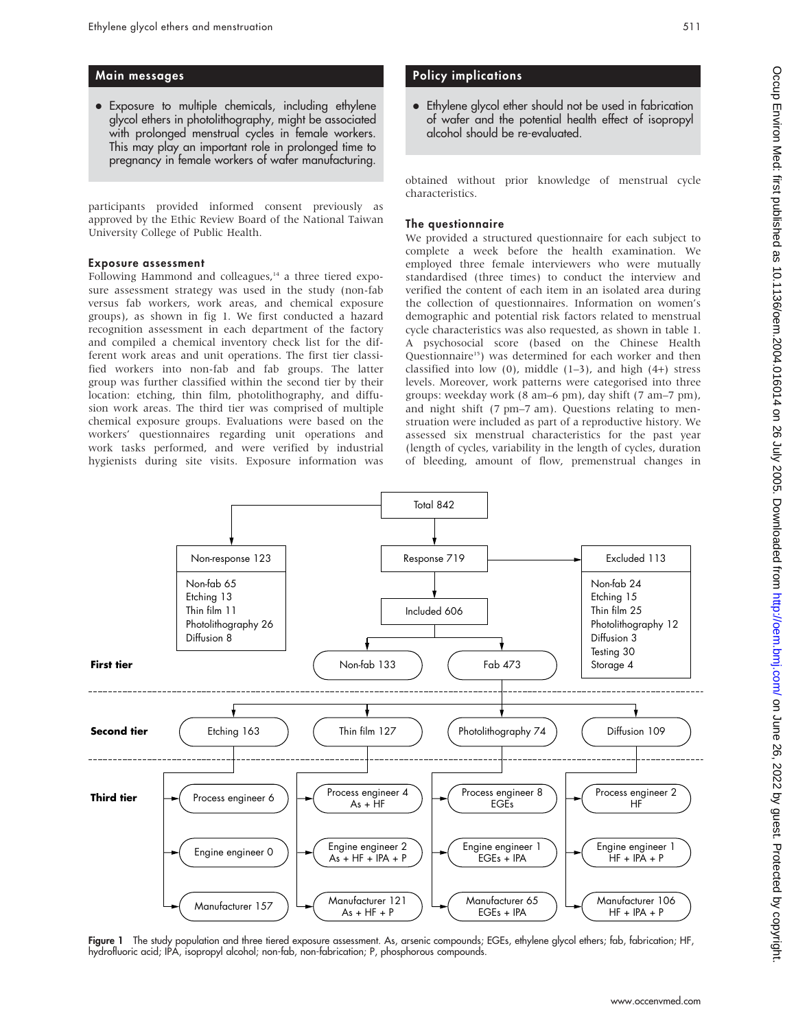### Main messages

• Exposure to multiple chemicals, including ethylene glycol ethers in photolithography, might be associated with prolonged menstrual cycles in female workers. This may play an important role in prolonged time to pregnancy in female workers of wafer manufacturing.

participants provided informed consent previously as approved by the Ethic Review Board of the National Taiwan University College of Public Health.

#### Exposure assessment

Following Hammond and colleagues,<sup>14</sup> a three tiered exposure assessment strategy was used in the study (non-fab versus fab workers, work areas, and chemical exposure groups), as shown in fig 1. We first conducted a hazard recognition assessment in each department of the factory and compiled a chemical inventory check list for the different work areas and unit operations. The first tier classified workers into non-fab and fab groups. The latter group was further classified within the second tier by their location: etching, thin film, photolithography, and diffusion work areas. The third tier was comprised of multiple chemical exposure groups. Evaluations were based on the workers' questionnaires regarding unit operations and work tasks performed, and were verified by industrial hygienists during site visits. Exposure information was

## Policy implications

• Ethylene glycol ether should not be used in fabrication of wafer and the potential health effect of isopropyl alcohol should be re-evaluated.

obtained without prior knowledge of menstrual cycle characteristics.

#### The questionnaire

We provided a structured questionnaire for each subject to complete a week before the health examination. We employed three female interviewers who were mutually standardised (three times) to conduct the interview and verified the content of each item in an isolated area during the collection of questionnaires. Information on women's demographic and potential risk factors related to menstrual cycle characteristics was also requested, as shown in table 1. A psychosocial score (based on the Chinese Health Questionnaire<sup>15</sup>) was determined for each worker and then classified into low  $(0)$ , middle  $(1-3)$ , and high  $(4+)$  stress levels. Moreover, work patterns were categorised into three groups: weekday work (8 am–6 pm), day shift (7 am–7 pm), and night shift (7 pm–7 am). Questions relating to menstruation were included as part of a reproductive history. We assessed six menstrual characteristics for the past year (length of cycles, variability in the length of cycles, duration of bleeding, amount of flow, premenstrual changes in



Figure 1 The study population and three tiered exposure assessment. As, arsenic compounds; EGEs, ethylene glycol ethers; fab, fabrication; HF, hydrofluoric acid; IPA, isopropyl alcohol; non-fab, non-fabrication; P, phosphorous compounds.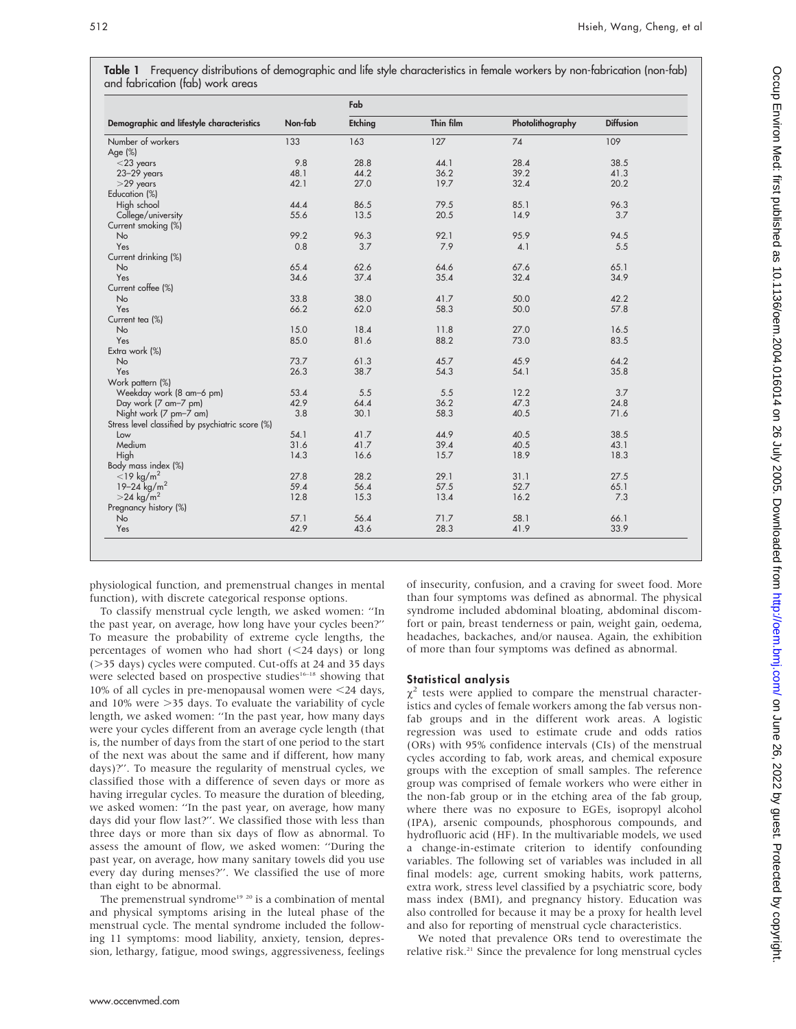Table 1 Frequency distributions of demographic and life style characteristics in female workers by non-fabrication (non-fab) and fabrication (fab) work areas

|                                                  |         | Fab     |           |                  |                  |  |
|--------------------------------------------------|---------|---------|-----------|------------------|------------------|--|
| Demographic and lifestyle characteristics        | Non-fab | Etching | Thin film | Photolithography | <b>Diffusion</b> |  |
| Number of workers                                | 133     | 163     | 127       | 74               | 109              |  |
| Age (%)                                          |         |         |           |                  |                  |  |
| $<$ 23 years                                     | 9.8     | 28.8    | 44.1      | 28.4             | 38.5             |  |
| $23 - 29$ years                                  | 48.1    | 44.2    | 36.2      | 39.2             | 41.3             |  |
| $>$ 29 years                                     | 42.1    | 27.0    | 19.7      | 32.4             | 20.2             |  |
| Education (%)                                    |         |         |           |                  |                  |  |
| High school                                      | 44.4    | 86.5    | 79.5      | 85.1             | 96.3             |  |
| College/university                               | 55.6    | 13.5    | 20.5      | 14.9             | 3.7              |  |
| Current smoking (%)                              |         |         |           |                  |                  |  |
| <b>No</b>                                        | 99.2    | 96.3    | 92.1      | 95.9             | 94.5             |  |
| Yes                                              | 0.8     | 3.7     | 7.9       | 4.1              | 5.5              |  |
| Current drinking (%)                             |         |         |           |                  |                  |  |
| No                                               | 65.4    | 62.6    | 64.6      | 67.6             | 65.1             |  |
| Yes                                              | 34.6    | 37.4    | 35.4      | 32.4             | 34.9             |  |
| Current coffee (%)                               |         |         |           |                  |                  |  |
| <b>No</b>                                        | 33.8    | 38.0    | 41.7      | 50.0             | 42.2             |  |
| Yes                                              | 66.2    | 62.0    | 58.3      | 50.0             | 57.8             |  |
| Current tea (%)                                  |         |         |           |                  |                  |  |
| No                                               | 15.0    | 18.4    | 11.8      | 27.0             | 16.5             |  |
| Yes                                              | 85.0    | 81.6    | 88.2      | 73.0             | 83.5             |  |
| Extra work (%)                                   |         |         |           |                  |                  |  |
| No                                               | 73.7    | 61.3    | 45.7      | 45.9             | 64.2             |  |
| Yes                                              | 26.3    | 38.7    | 54.3      | 54.1             | 35.8             |  |
| Work pattern (%)                                 |         |         |           |                  |                  |  |
| Weekday work (8 am-6 pm)                         | 53.4    | 5.5     | 5.5       | 12.2             | 3.7              |  |
| Day work (7 am-7 pm)                             | 42.9    | 64.4    | 36.2      | 47.3             | 24.8             |  |
| Night work (7 pm-7 am)                           | 3.8     | 30.1    | 58.3      | 40.5             | 71.6             |  |
| Stress level classified by psychiatric score (%) |         |         |           |                  |                  |  |
| Low                                              | 54.1    | 41.7    | 44.9      | 40.5             | 38.5             |  |
| Medium                                           | 31.6    | 41.7    | 39.4      | 40.5             | 43.1             |  |
| High                                             | 14.3    | 16.6    | 15.7      | 18.9             | 18.3             |  |
| Body mass index (%)                              |         |         |           |                  |                  |  |
| $<$ 19 kg/m <sup>2</sup>                         | 27.8    | 28.2    | 29.1      | 31.1             | 27.5             |  |
| 19-24 kg/m <sup>2</sup>                          | 59.4    | 56.4    | 57.5      | 52.7             | 65.1             |  |
| $>$ 24 kg/m <sup>2</sup>                         | 12.8    | 15.3    | 13.4      | 16.2             | 7.3              |  |
| Pregnancy history (%)                            |         |         |           |                  |                  |  |
| No                                               | 57.1    | 56.4    | 71.7      | 58.1             | 66.1             |  |
| Yes                                              | 42.9    | 43.6    | 28.3      | 41.9             | 33.9             |  |

physiological function, and premenstrual changes in mental function), with discrete categorical response options.

To classify menstrual cycle length, we asked women: ''In the past year, on average, how long have your cycles been?'' To measure the probability of extreme cycle lengths, the percentages of women who had short  $( $24 \text{ days}$ )$  or long ( $>$ 35 days) cycles were computed. Cut-offs at 24 and 35 days were selected based on prospective studies<sup>16–18</sup> showing that 10% of all cycles in pre-menopausal women were  $\leq$ 24 days, and  $10\%$  were  $>35$  days. To evaluate the variability of cycle length, we asked women: ''In the past year, how many days were your cycles different from an average cycle length (that is, the number of days from the start of one period to the start of the next was about the same and if different, how many days)?''. To measure the regularity of menstrual cycles, we classified those with a difference of seven days or more as having irregular cycles. To measure the duration of bleeding, we asked women: ''In the past year, on average, how many days did your flow last?''. We classified those with less than three days or more than six days of flow as abnormal. To assess the amount of flow, we asked women: ''During the past year, on average, how many sanitary towels did you use every day during menses?''. We classified the use of more than eight to be abnormal.

The premenstrual syndrome<sup>19 20</sup> is a combination of mental and physical symptoms arising in the luteal phase of the menstrual cycle. The mental syndrome included the following 11 symptoms: mood liability, anxiety, tension, depression, lethargy, fatigue, mood swings, aggressiveness, feelings

of insecurity, confusion, and a craving for sweet food. More than four symptoms was defined as abnormal. The physical syndrome included abdominal bloating, abdominal discomfort or pain, breast tenderness or pain, weight gain, oedema, headaches, backaches, and/or nausea. Again, the exhibition of more than four symptoms was defined as abnormal.

#### Statistical analysis

 $\chi^2$  tests were applied to compare the menstrual characteristics and cycles of female workers among the fab versus nonfab groups and in the different work areas. A logistic regression was used to estimate crude and odds ratios (ORs) with 95% confidence intervals (CIs) of the menstrual cycles according to fab, work areas, and chemical exposure groups with the exception of small samples. The reference group was comprised of female workers who were either in the non-fab group or in the etching area of the fab group, where there was no exposure to EGEs, isopropyl alcohol (IPA), arsenic compounds, phosphorous compounds, and hydrofluoric acid (HF). In the multivariable models, we used a change-in-estimate criterion to identify confounding variables. The following set of variables was included in all final models: age, current smoking habits, work patterns, extra work, stress level classified by a psychiatric score, body mass index (BMI), and pregnancy history. Education was also controlled for because it may be a proxy for health level and also for reporting of menstrual cycle characteristics.

We noted that prevalence ORs tend to overestimate the relative risk.<sup>21</sup> Since the prevalence for long menstrual cycles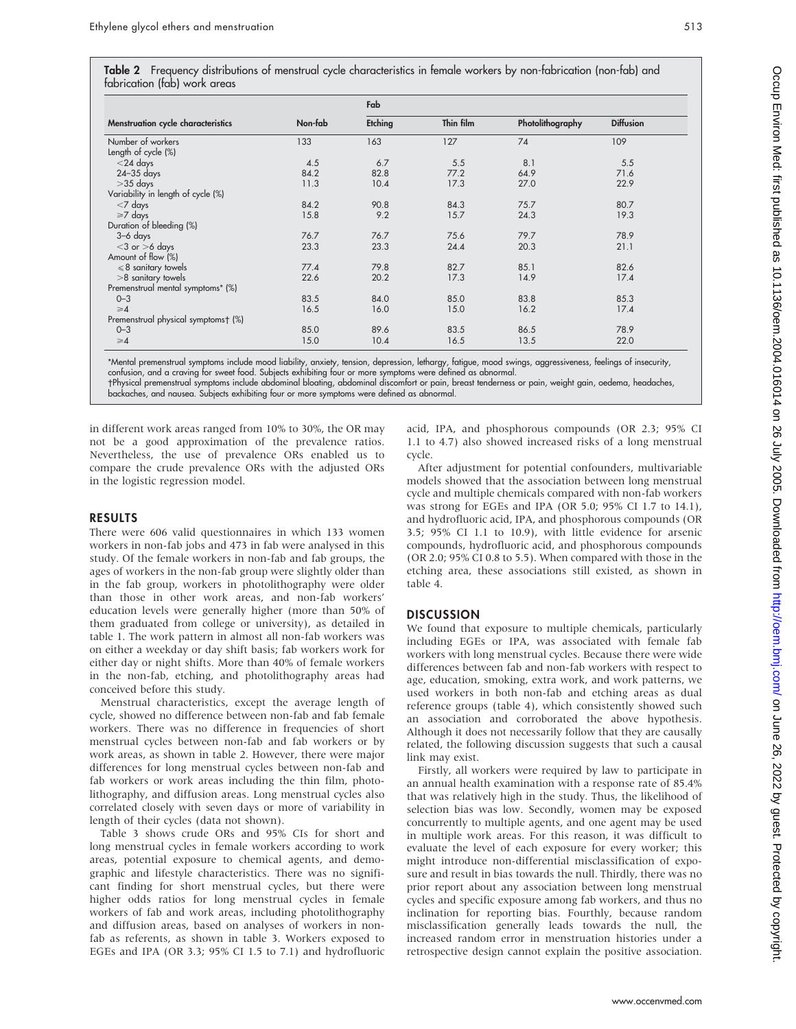Table 2 Frequency distributions of menstrual cycle characteristics in female workers by non-fabrication (non-fab) and fabrication (fab) work areas

|                                     |         | Fab     |           |                  |                  |
|-------------------------------------|---------|---------|-----------|------------------|------------------|
| Menstruation cycle characteristics  | Non-fab | Etching | Thin film | Photolithography | <b>Diffusion</b> |
| Number of workers                   | 133     | 163     | 127       | 74               | 109              |
| Length of cycle (%)                 |         |         |           |                  |                  |
| $<$ 24 days                         | 4.5     | 6.7     | 5.5       | 8.1              | 5.5              |
| $24 - 35$ days                      | 84.2    | 82.8    | 77.2      | 64.9             | 71.6             |
| $>$ 35 days                         | 11.3    | 10.4    | 17.3      | 27.0             | 22.9             |
| Variability in length of cycle (%)  |         |         |           |                  |                  |
| $<$ 7 days                          | 84.2    | 90.8    | 84.3      | 75.7             | 80.7             |
| $\geq 7$ days                       | 15.8    | 9.2     | 15.7      | 24.3             | 19.3             |
| Duration of bleeding (%)            |         |         |           |                  |                  |
| $3-6$ days                          | 76.7    | 76.7    | 75.6      | 79.7             | 78.9             |
| $<$ 3 or $>$ 6 days                 | 23.3    | 23.3    | 24.4      | 20.3             | 21.1             |
| Amount of flow (%)                  |         |         |           |                  |                  |
| $\leq 8$ sanitary towels            | 77.4    | 79.8    | 82.7      | 85.1             | 82.6             |
| $>8$ sanitary towels                | 22.6    | 20.2    | 17.3      | 14.9             | 17.4             |
| Premenstrual mental symptoms* (%)   |         |         |           |                  |                  |
| $0 - 3$                             | 83.5    | 84.0    | 85.0      | 83.8             | 85.3             |
| $\geq 4$                            | 16.5    | 16.0    | 15.0      | 16.2             | 17.4             |
| Premenstrual physical symptoms† (%) |         |         |           |                  |                  |
| $0 - 3$                             | 85.0    | 89.6    | 83.5      | 86.5             | 78.9             |
| $\geq 4$                            | 15.0    | 10.4    | 16.5      | 13.5             | 22.0             |

\*Mental premenstrual symptoms include mood liability, anxiety, tension, depression, lethargy, fatigue, mood swings, aggressiveness, feelings of insecurity, confusion, and a craving for sweet food. Subjects exhibiting four or more symptoms were defined as abnormal.<br>†Physical premenstrual symptoms include abdominal bloating, abdominal discomfort or pain, breast tenderness or pa

backaches, and nausea. Subjects exhibiting four or more symptoms were defined as abnormal.

in different work areas ranged from 10% to 30%, the OR may not be a good approximation of the prevalence ratios. Nevertheless, the use of prevalence ORs enabled us to compare the crude prevalence ORs with the adjusted ORs in the logistic regression model.

#### RESULTS

There were 606 valid questionnaires in which 133 women workers in non-fab jobs and 473 in fab were analysed in this study. Of the female workers in non-fab and fab groups, the ages of workers in the non-fab group were slightly older than in the fab group, workers in photolithography were older than those in other work areas, and non-fab workers' education levels were generally higher (more than 50% of them graduated from college or university), as detailed in table 1. The work pattern in almost all non-fab workers was on either a weekday or day shift basis; fab workers work for either day or night shifts. More than 40% of female workers in the non-fab, etching, and photolithography areas had conceived before this study.

Menstrual characteristics, except the average length of cycle, showed no difference between non-fab and fab female workers. There was no difference in frequencies of short menstrual cycles between non-fab and fab workers or by work areas, as shown in table 2. However, there were major differences for long menstrual cycles between non-fab and fab workers or work areas including the thin film, photolithography, and diffusion areas. Long menstrual cycles also correlated closely with seven days or more of variability in length of their cycles (data not shown).

Table 3 shows crude ORs and 95% CIs for short and long menstrual cycles in female workers according to work areas, potential exposure to chemical agents, and demographic and lifestyle characteristics. There was no significant finding for short menstrual cycles, but there were higher odds ratios for long menstrual cycles in female workers of fab and work areas, including photolithography and diffusion areas, based on analyses of workers in nonfab as referents, as shown in table 3. Workers exposed to EGEs and IPA (OR 3.3; 95% CI 1.5 to 7.1) and hydrofluoric acid, IPA, and phosphorous compounds (OR 2.3; 95% CI 1.1 to 4.7) also showed increased risks of a long menstrual cycle.

After adjustment for potential confounders, multivariable models showed that the association between long menstrual cycle and multiple chemicals compared with non-fab workers was strong for EGEs and IPA (OR 5.0; 95% CI 1.7 to 14.1), and hydrofluoric acid, IPA, and phosphorous compounds (OR 3.5; 95% CI 1.1 to 10.9), with little evidence for arsenic compounds, hydrofluoric acid, and phosphorous compounds (OR 2.0; 95% CI 0.8 to 5.5). When compared with those in the etching area, these associations still existed, as shown in table 4.

#### **DISCUSSION**

We found that exposure to multiple chemicals, particularly including EGEs or IPA, was associated with female fab workers with long menstrual cycles. Because there were wide differences between fab and non-fab workers with respect to age, education, smoking, extra work, and work patterns, we used workers in both non-fab and etching areas as dual reference groups (table 4), which consistently showed such an association and corroborated the above hypothesis. Although it does not necessarily follow that they are causally related, the following discussion suggests that such a causal link may exist.

Firstly, all workers were required by law to participate in an annual health examination with a response rate of 85.4% that was relatively high in the study. Thus, the likelihood of selection bias was low. Secondly, women may be exposed concurrently to multiple agents, and one agent may be used in multiple work areas. For this reason, it was difficult to evaluate the level of each exposure for every worker; this might introduce non-differential misclassification of exposure and result in bias towards the null. Thirdly, there was no prior report about any association between long menstrual cycles and specific exposure among fab workers, and thus no inclination for reporting bias. Fourthly, because random misclassification generally leads towards the null, the increased random error in menstruation histories under a retrospective design cannot explain the positive association.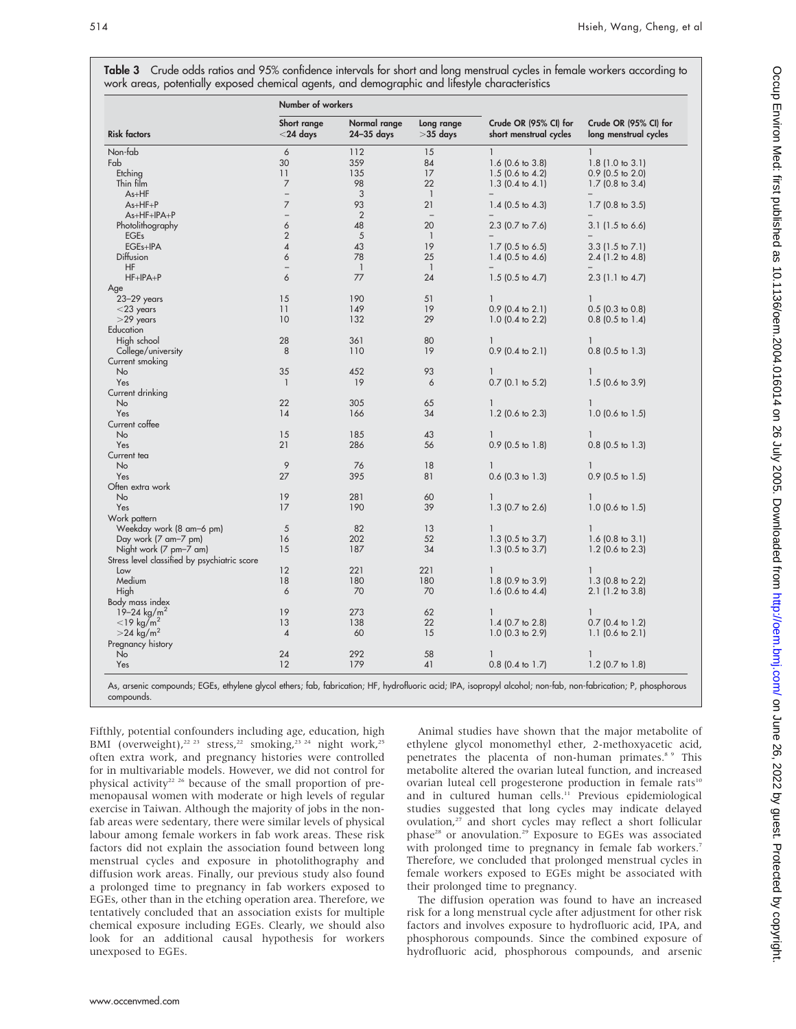Table 3 Crude odds ratios and 95% confidence intervals for short and long menstrual cycles in female workers according to work areas, potentially exposed chemical agents, and demographic and lifestyle characteristics

|                                              | Number of workers          |                            |                           |                                                 |                                                |  |
|----------------------------------------------|----------------------------|----------------------------|---------------------------|-------------------------------------------------|------------------------------------------------|--|
| <b>Risk factors</b>                          | Short range<br>$<$ 24 days | Normal range<br>24-35 days | Long range<br>$>$ 35 days | Crude OR (95% CI) for<br>short menstrual cycles | Crude OR (95% CI) for<br>long menstrual cycles |  |
| Non-fab                                      | 6                          | 112                        | 15                        | $\mathbf{1}$                                    | $\mathbf{1}$                                   |  |
| Fab                                          | 30                         | 359                        | 84                        | 1.6 $(0.6 \text{ to } 3.8)$                     | $1.8$ (1.0 to 3.1)                             |  |
| Etching                                      | 11                         | 135                        | 17                        | $1.5$ (0.6 to 4.2)                              | $0.9$ (0.5 to 2.0)                             |  |
| Thin film                                    | $\overline{7}$             | 98                         | 22                        | $1.3$ (0.4 to 4.1)                              | $1.7$ (0.8 to 3.4)                             |  |
| As+HF                                        | $\overline{\phantom{0}}$   | $\ensuremath{\mathsf{3}}$  | $\overline{1}$            |                                                 |                                                |  |
| $As+HF+P$                                    | $\overline{7}$             | 93                         | 21                        | 1.4 $(0.5 \text{ to } 4.3)$                     | $1.7$ (0.8 to 3.5)                             |  |
| As+HF+IPA+P                                  | $\qquad \qquad -$          | $\overline{2}$             | $\overline{\phantom{0}}$  |                                                 |                                                |  |
| Photolithography                             | 6                          | 48                         | 20                        | $2.3$ (0.7 to 7.6)                              | $3.1$ (1.5 to 6.6)                             |  |
| EGEs                                         | $\overline{2}$             | 5                          | $\overline{\phantom{a}}$  |                                                 |                                                |  |
|                                              | $\overline{\mathcal{A}}$   | 43                         | 19                        |                                                 |                                                |  |
| EGE <sub>s+IPA</sub>                         | 6                          | 78                         | 25                        | 1.7 $(0.5 \text{ to } 6.5)$                     | $3.3$ (1.5 to 7.1)                             |  |
| Diffusion                                    |                            |                            |                           | 1.4 $(0.5 \text{ to } 4.6)$                     | $2.4$ (1.2 to 4.8)                             |  |
| HF                                           | $\qquad \qquad -$          | $\overline{1}$             | $\overline{1}$            |                                                 |                                                |  |
| $HF+IPA+P$<br>Age                            | 6                          | 77                         | 24                        | 1.5 $(0.5$ to 4.7)                              | $2.3$ (1.1 to 4.7)                             |  |
| $23 - 29$ years                              | 15                         | 190                        | 51                        | $\mathbf{1}$                                    | $\mathbf{1}$                                   |  |
| $<$ 23 years                                 | 11                         | 149                        | 19                        | $0.9$ (0.4 to 2.1)                              | $0.5$ (0.3 to 0.8)                             |  |
| $>$ 29 years                                 | 10                         | 132                        | 29                        | $1.0$ (0.4 to 2.2)                              | $0.8$ (0.5 to 1.4)                             |  |
| Education                                    |                            |                            |                           |                                                 |                                                |  |
| High school                                  | 28                         | 361                        | 80                        | 1                                               | 1                                              |  |
|                                              | 8                          |                            | 19                        |                                                 |                                                |  |
| College/university                           |                            | 110                        |                           | $0.9$ (0.4 to 2.1)                              | $0.8$ (0.5 to 1.3)                             |  |
| Current smoking                              |                            |                            |                           |                                                 |                                                |  |
| No                                           | 35                         | 452                        | 93                        | 1                                               |                                                |  |
| Yes                                          | $\mathbf{1}$               | 19                         | 6                         | $0.7$ (0.1 to 5.2)                              | 1.5 (0.6 to 3.9)                               |  |
| Current drinking                             |                            |                            |                           |                                                 |                                                |  |
| No                                           | 22                         | 305                        | 65                        | 1                                               |                                                |  |
| Yes                                          | 14                         | 166                        | 34                        | $1.2$ (0.6 to 2.3)                              | $1.0$ (0.6 to $1.5$ )                          |  |
| Current coffee                               |                            |                            |                           |                                                 |                                                |  |
| No                                           | 15                         | 185                        | 43                        |                                                 |                                                |  |
| Yes                                          | 21                         | 286                        | 56                        | $0.9$ (0.5 to 1.8)                              | 0.8 (0.5 to 1.3)                               |  |
| Current tea                                  |                            |                            |                           |                                                 |                                                |  |
| No                                           | 9                          | 76                         | 18                        |                                                 |                                                |  |
| Yes                                          | 27                         | 395                        | 81                        | $0.6$ (0.3 to 1.3)                              | $0.9$ (0.5 to 1.5)                             |  |
| Often extra work                             |                            |                            |                           |                                                 |                                                |  |
| No                                           | 19                         | 281                        | 60                        | 1                                               |                                                |  |
| Yes                                          | 17                         | 190                        | 39                        | $1.3$ (0.7 to 2.6)                              | $1.0$ (0.6 to 1.5)                             |  |
| Work pattern                                 |                            |                            |                           |                                                 |                                                |  |
| Weekday work (8 am-6 pm)                     | 5                          | 82                         | 13                        | $\mathbf{1}$                                    | $\mathbf{1}$                                   |  |
| Day work (7 am-7 pm)                         | 16                         | 202                        | 52                        | 1.3 $(0.5 \text{ to } 3.7)$                     | 1.6 $(0.8 \text{ to } 3.1)$                    |  |
| Night work (7 pm–7 am)                       | 15                         | 187                        | 34                        | 1.3 $(0.5 \text{ to } 3.7)$                     | $1.2$ (0.6 to 2.3)                             |  |
| Stress level classified by psychiatric score |                            |                            |                           |                                                 |                                                |  |
| Low                                          | 12                         | 221                        | 221                       | $\mathbf{1}$                                    | $\mathbf{1}$                                   |  |
| Medium                                       | 18                         | 180                        | 180                       | 1.8 (0.9 to 3.9)                                | $1.3$ (0.8 to 2.2)                             |  |
| High                                         | 6                          | 70                         | 70                        | 1.6 $(0.6 \text{ to } 4.4)$                     | $2.1$ (1.2 to 3.8)                             |  |
| Body mass index                              |                            |                            |                           |                                                 |                                                |  |
| 19–24 kg/m <sup>2</sup>                      | 19                         | 273                        | 62                        | $\mathbf{1}$                                    | $\mathbf{1}$                                   |  |
| $<$ 19 kg/m <sup>2</sup>                     | 13                         | 138                        | 22                        |                                                 | $0.7$ (0.4 to 1.2)                             |  |
|                                              |                            |                            |                           | 1.4 $(0.7 \text{ to } 2.8)$                     |                                                |  |
| $>$ 24 kg/m <sup>2</sup>                     | $\overline{\mathcal{A}}$   | 60                         | 15                        | $1.0$ (0.3 to 2.9)                              | 1.1 $(0.6 \text{ to } 2.1)$                    |  |
| Pregnancy history                            |                            |                            |                           |                                                 |                                                |  |
| No                                           | 24                         | 292                        | 58                        | 1                                               | 1                                              |  |
| Yes                                          | 12                         | 179                        | 41                        | $0.8$ (0.4 to 1.7)                              | $1.2$ (0.7 to 1.8)                             |  |
|                                              |                            |                            |                           |                                                 |                                                |  |

As, arsenic compounds; EGEs, ethylene glycol ethers; fab, fabrication; HF, hydrofluoric acid; IPA, isopropyl alcohol; non-fab, non-fabrication; P, phosphorous compounds.

Fifthly, potential confounders including age, education, high BMI (overweight),<sup>22 23</sup> stress,<sup>22</sup> smoking,<sup>23 24</sup> night work,<sup>25</sup> often extra work, and pregnancy histories were controlled for in multivariable models. However, we did not control for physical activity<sup>22 26</sup> because of the small proportion of premenopausal women with moderate or high levels of regular exercise in Taiwan. Although the majority of jobs in the nonfab areas were sedentary, there were similar levels of physical labour among female workers in fab work areas. These risk factors did not explain the association found between long menstrual cycles and exposure in photolithography and diffusion work areas. Finally, our previous study also found a prolonged time to pregnancy in fab workers exposed to EGEs, other than in the etching operation area. Therefore, we tentatively concluded that an association exists for multiple chemical exposure including EGEs. Clearly, we should also look for an additional causal hypothesis for workers unexposed to EGEs.

Animal studies have shown that the major metabolite of ethylene glycol monomethyl ether, 2-methoxyacetic acid, penetrates the placenta of non-human primates.<sup>8 9</sup> This metabolite altered the ovarian luteal function, and increased ovarian luteal cell progesterone production in female rats<sup>10</sup> and in cultured human cells.<sup>11</sup> Previous epidemiological studies suggested that long cycles may indicate delayed ovulation,<sup>27</sup> and short cycles may reflect a short follicular phase<sup>28</sup> or anovulation.<sup>29</sup> Exposure to EGEs was associated with prolonged time to pregnancy in female fab workers.<sup>7</sup> Therefore, we concluded that prolonged menstrual cycles in female workers exposed to EGEs might be associated with their prolonged time to pregnancy.

The diffusion operation was found to have an increased risk for a long menstrual cycle after adjustment for other risk factors and involves exposure to hydrofluoric acid, IPA, and phosphorous compounds. Since the combined exposure of hydrofluoric acid, phosphorous compounds, and arsenic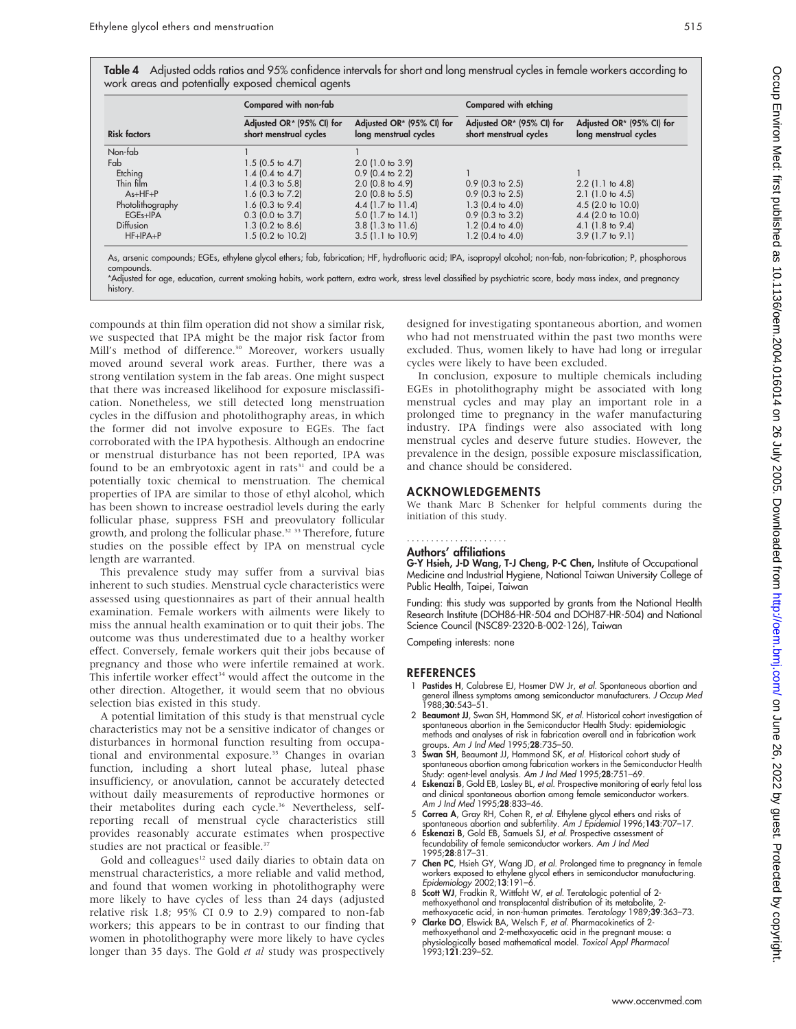Table 4 Adjusted odds ratios and 95% confidence intervals for short and long menstrual cycles in female workers according to work areas and potentially exposed chemical agents

|                      | Compared with non-fab                               |                                                    | Compared with etching                               |                                                    |  |
|----------------------|-----------------------------------------------------|----------------------------------------------------|-----------------------------------------------------|----------------------------------------------------|--|
| <b>Risk factors</b>  | Adjusted OR* (95% CI) for<br>short menstrual cycles | Adjusted OR* (95% CI) for<br>long menstrual cycles | Adjusted OR* (95% CI) for<br>short menstrual cycles | Adjusted OR* (95% CI) for<br>long menstrual cycles |  |
| Non-fab              |                                                     |                                                    |                                                     |                                                    |  |
| Fab                  | $1.5$ (0.5 to 4.7)                                  | $2.0$ (1.0 to 3.9)                                 |                                                     |                                                    |  |
| Etching              | $1.4$ (0.4 to 4.7)                                  | $0.9$ (0.4 to 2.2)                                 |                                                     |                                                    |  |
| Thin film            | $1.4$ (0.3 to 5.8)                                  | $2.0$ (0.8 to 4.9)                                 | $0.9$ (0.3 to 2.5)                                  | $2.2$ (1.1 to 4.8)                                 |  |
| $As+HF+P$            | $1.6$ (0.3 to $7.2$ )                               | $2.0$ (0.8 to 5.5)                                 | $0.9$ (0.3 to 2.5)                                  | $2.1$ (1.0 to 4.5)                                 |  |
| Photolithography     | $1.6$ (0.3 to 9.4)                                  | $4.4$ (1.7 to 11.4)                                | $1.3$ (0.4 to 4.0)                                  | $4.5$ (2.0 to 10.0)                                |  |
| EGE <sub>s+IPA</sub> | $0.3$ (0.0 to 3.7)                                  | $5.0$ (1.7 to 14.1)                                | $0.9$ (0.3 to 3.2)                                  | 4.4 $(2.0 \text{ to } 10.0)$                       |  |
| <b>Diffusion</b>     | $1.3$ (0.2 to 8.6)                                  | $3.8$ (1.3 to 11.6)                                | $1.2$ (0.4 to 4.0)                                  | 4.1 $(1.8 \text{ to } 9.4)$                        |  |
| $HF+IPA+P$           | 1.5 (0.2 to 10.2)                                   | $3.5$ (1.1 to 10.9)                                | $1.2$ (0.4 to 4.0)                                  | $3.9(1.7 \text{ to } 9.1)$                         |  |

compounds. \*Adjusted for age, education, current smoking habits, work pattern, extra work, stress level classified by psychiatric score, body mass index, and pregnancy

history.

compounds at thin film operation did not show a similar risk, we suspected that IPA might be the major risk factor from Mill's method of difference.<sup>30</sup> Moreover, workers usually moved around several work areas. Further, there was a strong ventilation system in the fab areas. One might suspect that there was increased likelihood for exposure misclassification. Nonetheless, we still detected long menstruation cycles in the diffusion and photolithography areas, in which the former did not involve exposure to EGEs. The fact corroborated with the IPA hypothesis. Although an endocrine or menstrual disturbance has not been reported, IPA was found to be an embryotoxic agent in rats $31$  and could be a potentially toxic chemical to menstruation. The chemical properties of IPA are similar to those of ethyl alcohol, which has been shown to increase oestradiol levels during the early follicular phase, suppress FSH and preovulatory follicular growth, and prolong the follicular phase.32 33 Therefore, future studies on the possible effect by IPA on menstrual cycle length are warranted.

This prevalence study may suffer from a survival bias inherent to such studies. Menstrual cycle characteristics were assessed using questionnaires as part of their annual health examination. Female workers with ailments were likely to miss the annual health examination or to quit their jobs. The outcome was thus underestimated due to a healthy worker effect. Conversely, female workers quit their jobs because of pregnancy and those who were infertile remained at work. This infertile worker effect<sup>34</sup> would affect the outcome in the other direction. Altogether, it would seem that no obvious selection bias existed in this study.

A potential limitation of this study is that menstrual cycle characteristics may not be a sensitive indicator of changes or disturbances in hormonal function resulting from occupational and environmental exposure.<sup>35</sup> Changes in ovarian function, including a short luteal phase, luteal phase insufficiency, or anovulation, cannot be accurately detected without daily measurements of reproductive hormones or their metabolites during each cycle.<sup>36</sup> Nevertheless, selfreporting recall of menstrual cycle characteristics still provides reasonably accurate estimates when prospective studies are not practical or feasible.<sup>37</sup>

Gold and colleagues<sup>12</sup> used daily diaries to obtain data on menstrual characteristics, a more reliable and valid method, and found that women working in photolithography were more likely to have cycles of less than 24 days (adjusted relative risk 1.8; 95% CI 0.9 to 2.9) compared to non-fab workers; this appears to be in contrast to our finding that women in photolithography were more likely to have cycles longer than 35 days. The Gold et al study was prospectively designed for investigating spontaneous abortion, and women who had not menstruated within the past two months were excluded. Thus, women likely to have had long or irregular cycles were likely to have been excluded.

In conclusion, exposure to multiple chemicals including EGEs in photolithography might be associated with long menstrual cycles and may play an important role in a prolonged time to pregnancy in the wafer manufacturing industry. IPA findings were also associated with long menstrual cycles and deserve future studies. However, the prevalence in the design, possible exposure misclassification, and chance should be considered.

#### ACKNOWLEDGEMENTS

We thank Marc B Schenker for helpful comments during the initiation of this study.

# .....................

Authors' affiliations

G-Y Hsieh, J-D Wang, T-J Cheng, P-C Chen, Institute of Occupational Medicine and Industrial Hygiene, National Taiwan University College of Public Health, Taipei, Taiwan

Funding: this study was supported by grants from the National Health Research Institute (DOH86-HR-504 and DOH87-HR-504) and National Science Council (NSC89-2320-B-002-126), Taiwan

Competing interests: none

#### **REFERENCES**

- 1 Pastides H, Calabrese EJ, Hosmer DW Jr, et al. Spontaneous abortion and general illness symptoms among semiconductor manutacturers. *J Occup Med*<br>1988;**30**:543–51.
- 2 Beaumont JJ, Swan SH, Hammond SK, et al. Historical cohort investigation of spontaneous abortion in the Semiconductor Health Study: epidemiologic methods and analyses of risk in fabrication overall and in fabrication work
- groups. A*m J Ind Med* 1995;**28**:735–50.<br>3 Swan SH, Beaumont JJ, Hammond SK, *et al.* Historical cohort study of spontaneous abortion among fabrication workers in the Semiconductor Health Study: agent-level analysis. Am J Ind Med 1995;28:751–69.
- 4 Eskenazi B, Gold EB, Lasley BL, et al. Prospective monitoring of early fetal loss and clinical spontaneous abortion among female semiconductor workers. Am J Ind Med 1995;28:833–46.
- 5 **Correa A**, Gray RH, Cohen R, *et al.* Ethylene glycol ethers and risks of<br>spontaneous abortion and subfertility. *Am J Epidemiol* 1996;**143**:707–17.<br>6 **Eskenazi B**, Gold EB, Samuels SJ, *et al.* Prospective assessment o
- fecundability of female semiconductor workers. Am J Ind Med 1995;28:817–31.
- 7 Chen PC, Hsieh GY, Wang JD, et al. Prolonged time to pregnancy in female workers exposed to ethylene glycol ethers in semiconductor manufacturing. Epidemiology 2002;13:191–6.
- 8 Scott WJ, Fradkin R, Wittfoht W, et al. Teratologic potential of 2- methoxyethanol and transplacental distribution of its metabolite, 2 methoxyacetic acid, in non-human primates. *Teratology* 1989;**39**:363–73.<br>9 **Clarke DO**, Elswick BA, Welsch F, *et al.* Pharmacokinetics of 2-
- methoxyethanol and 2-methoxyacetic acid in the pregnant mouse: a physiologically based mathematical model. Toxicol Appl Pharmacol physiologically www.<br>1993;**121**:239–52.